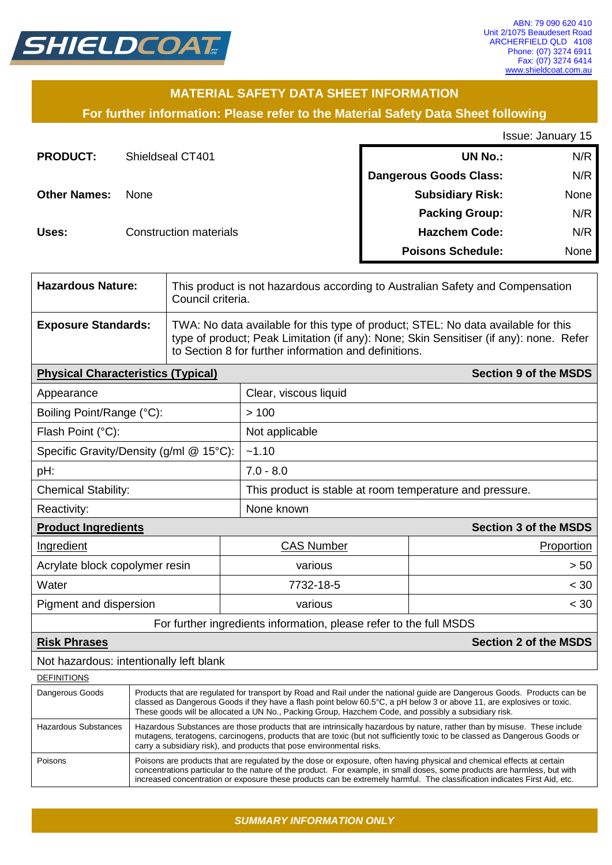

### **MATERIAL SAFETY DATA SHEET INFORMATION**

**For further information: Please refer to the Material Safety Data Sheet following**

Issue: January 15

| <b>PRODUCT:</b>     | Shieldseal CT401              | <b>UN No.:</b>                | N/R         |
|---------------------|-------------------------------|-------------------------------|-------------|
|                     |                               | <b>Dangerous Goods Class:</b> | N/R         |
| <b>Other Names:</b> | <b>None</b>                   | <b>Subsidiary Risk:</b>       | <b>None</b> |
|                     |                               | <b>Packing Group:</b>         | N/R         |
| Uses:               | <b>Construction materials</b> | <b>Hazchem Code:</b>          | N/R         |
|                     |                               | <b>Poisons Schedule:</b>      | None        |

| <b>Hazardous Nature:</b>   | This product is not hazardous according to Australian Safety and Compensation<br>Council criteria.                                                                                                                                   |
|----------------------------|--------------------------------------------------------------------------------------------------------------------------------------------------------------------------------------------------------------------------------------|
| <b>Exposure Standards:</b> | TWA: No data available for this type of product; STEL: No data available for this<br>type of product; Peak Limitation (if any): None; Skin Sensitiser (if any): none. Refer<br>to Section 8 for further information and definitions. |
|                            |                                                                                                                                                                                                                                      |

| <b>Physical Characteristics (Typical)</b> | <b>Section 9 of the MSDS</b>                             |                              |  |  |
|-------------------------------------------|----------------------------------------------------------|------------------------------|--|--|
| Appearance                                | Clear, viscous liquid                                    |                              |  |  |
| Boiling Point/Range (°C):                 | >100                                                     |                              |  |  |
| Flash Point (°C):                         | Not applicable                                           |                              |  |  |
| Specific Gravity/Density (g/ml @ 15°C):   | ~1.10                                                    |                              |  |  |
| pH:                                       | $7.0 - 8.0$                                              |                              |  |  |
| <b>Chemical Stability:</b>                | This product is stable at room temperature and pressure. |                              |  |  |
| Reactivity:                               | None known                                               |                              |  |  |
| <b>Product Ingredients</b>                |                                                          | <b>Section 3 of the MSDS</b> |  |  |
| Ingredient                                | <b>CAS Number</b>                                        | Proportion                   |  |  |
| Acrylate block copolymer resin            | various                                                  | > 50                         |  |  |
| Water                                     | 7732-18-5                                                | < 30                         |  |  |
| Pigment and dispersion                    | various                                                  | $<$ 30                       |  |  |
|                                           |                                                          |                              |  |  |

For further ingredients information, please refer to the full MSDS

**Risk Phrases Section 2 of the MSDS**

Not hazardous: intentionally left blank

| <b>DEFINITIONS</b>   |                                                                                                                                                                                                                                                                                                                                                                                  |
|----------------------|----------------------------------------------------------------------------------------------------------------------------------------------------------------------------------------------------------------------------------------------------------------------------------------------------------------------------------------------------------------------------------|
| Dangerous Goods      | Products that are regulated for transport by Road and Rail under the national guide are Dangerous Goods. Products can be<br>classed as Dangerous Goods if they have a flash point below 60.5°C, a pH below 3 or above 11, are explosives or toxic.<br>These goods will be allocated a UN No., Packing Group, Hazchem Code, and possibly a subsidiary risk.                       |
| Hazardous Substances | Hazardous Substances are those products that are intrinsically hazardous by nature, rather than by misuse. These include<br>mutagens, teratogens, carcinogens, products that are toxic (but not sufficiently toxic to be classed as Dangerous Goods or<br>carry a subsidiary risk), and products that pose environmental risks.                                                  |
| Poisons              | Poisons are products that are regulated by the dose or exposure, often having physical and chemical effects at certain<br>concentrations particular to the nature of the product. For example, in small doses, some products are harmless, but with<br>increased concentration or exposure these products can be extremely harmful. The classification indicates First Aid, etc. |

*SUMMARY INFORMATION ONLY*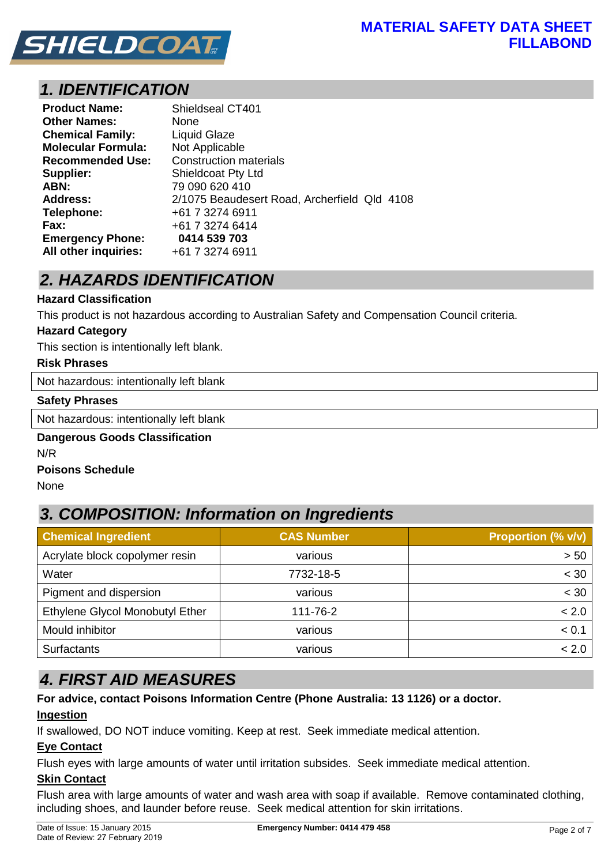

## *1. IDENTIFICATION*

| <b>Product Name:</b>      | Shieldseal CT401                             |
|---------------------------|----------------------------------------------|
| <b>Other Names:</b>       | None                                         |
| <b>Chemical Family:</b>   | <b>Liquid Glaze</b>                          |
| <b>Molecular Formula:</b> | Not Applicable                               |
| <b>Recommended Use:</b>   | <b>Construction materials</b>                |
| Supplier:                 | <b>Shieldcoat Pty Ltd</b>                    |
| ABN:                      | 79 090 620 410                               |
| <b>Address:</b>           | 2/1075 Beaudesert Road, Archerfield Qld 4108 |
| Telephone:                | +61 7 3274 6911                              |
| Fax:                      | +61 7 3274 6414                              |
| <b>Emergency Phone:</b>   | 0414 539 703                                 |
| All other inquiries:      | +61 7 3274 6911                              |

# *2. HAZARDS IDENTIFICATION*

#### **Hazard Classification**

This product is not hazardous according to Australian Safety and Compensation Council criteria.

#### **Hazard Category**

This section is intentionally left blank.

#### **Risk Phrases**

Not hazardous: intentionally left blank

#### **Safety Phrases**

Not hazardous: intentionally left blank

### **Dangerous Goods Classification**

N/R

#### **Poisons Schedule**

None

### *3. COMPOSITION: Information on Ingredients*

| <b>Chemical Ingredient</b>      | <b>CAS Number</b> | <b>Proportion (% v/v)</b> |  |
|---------------------------------|-------------------|---------------------------|--|
| Acrylate block copolymer resin  | various           | > 50                      |  |
| Water                           | 7732-18-5         | < 30                      |  |
| Pigment and dispersion          | various           | < 30                      |  |
| Ethylene Glycol Monobutyl Ether | 111-76-2          | < 2.0                     |  |
| Mould inhibitor                 | various           | < 0.1                     |  |
| <b>Surfactants</b>              | various           | < 2.0                     |  |

### *4. FIRST AID MEASURES*

### **For advice, contact Poisons Information Centre (Phone Australia: 13 1126) or a doctor.**

#### **Ingestion**

If swallowed, DO NOT induce vomiting. Keep at rest. Seek immediate medical attention.

#### **Eye Contact**

Flush eyes with large amounts of water until irritation subsides. Seek immediate medical attention.

#### **Skin Contact**

Flush area with large amounts of water and wash area with soap if available. Remove contaminated clothing, including shoes, and launder before reuse. Seek medical attention for skin irritations.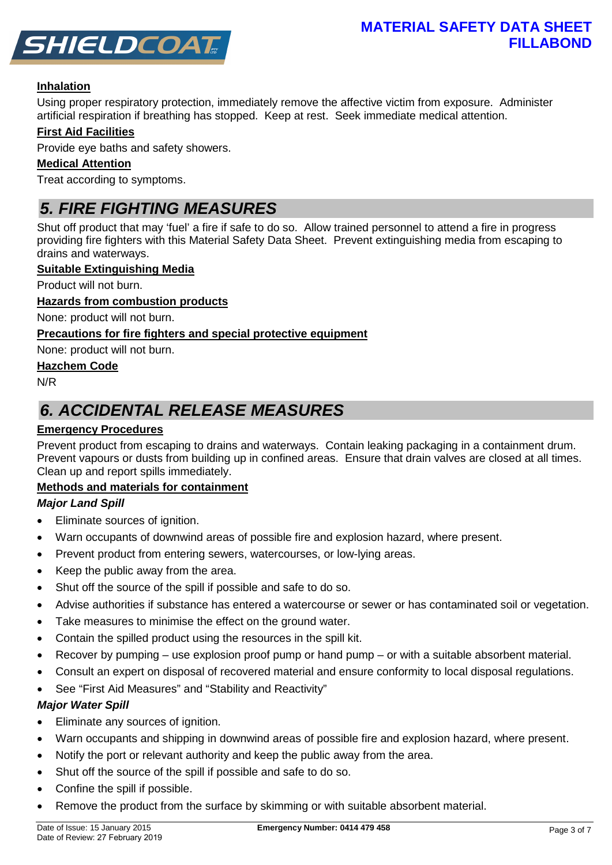

#### **Inhalation**

Using proper respiratory protection, immediately remove the affective victim from exposure. Administer artificial respiration if breathing has stopped. Keep at rest. Seek immediate medical attention.

#### **First Aid Facilities**

Provide eye baths and safety showers.

#### **Medical Attention**

Treat according to symptoms.

### *5. FIRE FIGHTING MEASURES*

Shut off product that may 'fuel' a fire if safe to do so. Allow trained personnel to attend a fire in progress providing fire fighters with this Material Safety Data Sheet. Prevent extinguishing media from escaping to drains and waterways.

#### **Suitable Extinguishing Media**

Product will not burn.

#### **Hazards from combustion products**

None: product will not burn.

#### **Precautions for fire fighters and special protective equipment**

None: product will not burn.

#### **Hazchem Code**

N/R

### *6. ACCIDENTAL RELEASE MEASURES*

#### **Emergency Procedures**

Prevent product from escaping to drains and waterways. Contain leaking packaging in a containment drum. Prevent vapours or dusts from building up in confined areas. Ensure that drain valves are closed at all times. Clean up and report spills immediately.

#### **Methods and materials for containment**

#### *Major Land Spill*

- Eliminate sources of ignition.
- Warn occupants of downwind areas of possible fire and explosion hazard, where present.
- Prevent product from entering sewers, watercourses, or low-lying areas.
- Keep the public away from the area.
- Shut off the source of the spill if possible and safe to do so.
- Advise authorities if substance has entered a watercourse or sewer or has contaminated soil or vegetation.
- Take measures to minimise the effect on the ground water.
- Contain the spilled product using the resources in the spill kit.
- Recover by pumping use explosion proof pump or hand pump or with a suitable absorbent material.
- Consult an expert on disposal of recovered material and ensure conformity to local disposal regulations.
- See "First Aid Measures" and "Stability and Reactivity"

#### *Major Water Spill*

- Eliminate any sources of ignition.
- Warn occupants and shipping in downwind areas of possible fire and explosion hazard, where present.
- Notify the port or relevant authority and keep the public away from the area.
- Shut off the source of the spill if possible and safe to do so.
- Confine the spill if possible.
- Remove the product from the surface by skimming or with suitable absorbent material.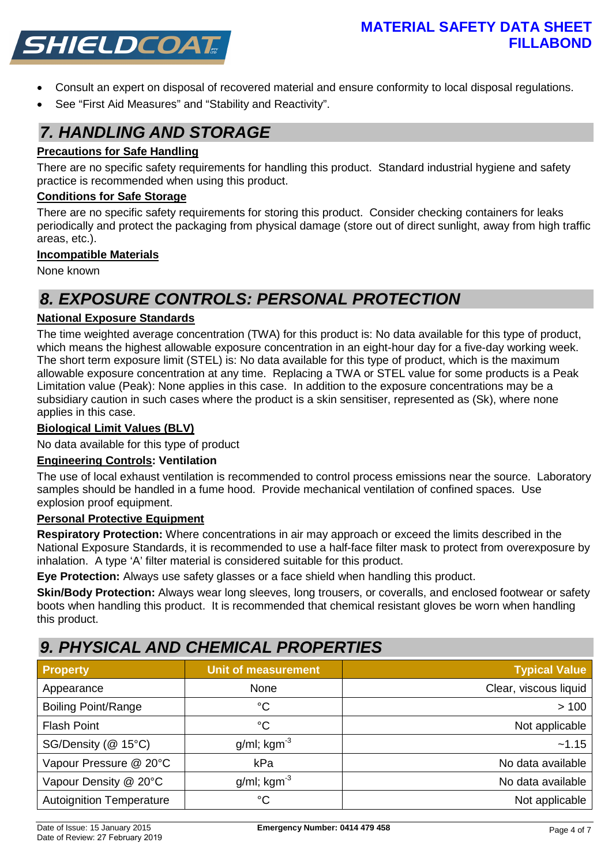

- Consult an expert on disposal of recovered material and ensure conformity to local disposal regulations.
- See "First Aid Measures" and "Stability and Reactivity".

### *7. HANDLING AND STORAGE*

#### **Precautions for Safe Handling**

There are no specific safety requirements for handling this product. Standard industrial hygiene and safety practice is recommended when using this product.

#### **Conditions for Safe Storage**

There are no specific safety requirements for storing this product. Consider checking containers for leaks periodically and protect the packaging from physical damage (store out of direct sunlight, away from high traffic areas, etc.).

#### **Incompatible Materials**

None known

### *8. EXPOSURE CONTROLS: PERSONAL PROTECTION*

#### **National Exposure Standards**

The time weighted average concentration (TWA) for this product is: No data available for this type of product, which means the highest allowable exposure concentration in an eight-hour day for a five-day working week. The short term exposure limit (STEL) is: No data available for this type of product, which is the maximum allowable exposure concentration at any time. Replacing a TWA or STEL value for some products is a Peak Limitation value (Peak): None applies in this case. In addition to the exposure concentrations may be a subsidiary caution in such cases where the product is a skin sensitiser, represented as (Sk), where none applies in this case.

#### **Biological Limit Values (BLV)**

No data available for this type of product

#### **Engineering Controls: Ventilation**

The use of local exhaust ventilation is recommended to control process emissions near the source. Laboratory samples should be handled in a fume hood. Provide mechanical ventilation of confined spaces. Use explosion proof equipment.

#### **Personal Protective Equipment**

**Respiratory Protection:** Where concentrations in air may approach or exceed the limits described in the National Exposure Standards, it is recommended to use a half-face filter mask to protect from overexposure by inhalation. A type 'A' filter material is considered suitable for this product.

**Eye Protection:** Always use safety glasses or a face shield when handling this product.

**Skin/Body Protection:** Always wear long sleeves, long trousers, or coveralls, and enclosed footwear or safety boots when handling this product. It is recommended that chemical resistant gloves be worn when handling this product.

### *9. PHYSICAL AND CHEMICAL PROPERTIES*

| <b>Property</b>                 | <b>Unit of measurement</b> | <b>Typical Value</b>  |
|---------------------------------|----------------------------|-----------------------|
| Appearance                      | None                       | Clear, viscous liquid |
| <b>Boiling Point/Range</b>      | $^{\circ}C$                | >100                  |
| <b>Flash Point</b>              | $^{\circ}C$                | Not applicable        |
| SG/Density (@ 15°C)             | $g/ml$ ; kgm <sup>-3</sup> | ~1.15                 |
| Vapour Pressure @ 20°C          | kPa                        | No data available     |
| Vapour Density @ 20°C           | $g/ml$ ; kgm <sup>-3</sup> | No data available     |
| <b>Autoignition Temperature</b> | $^{\circ}C$                | Not applicable        |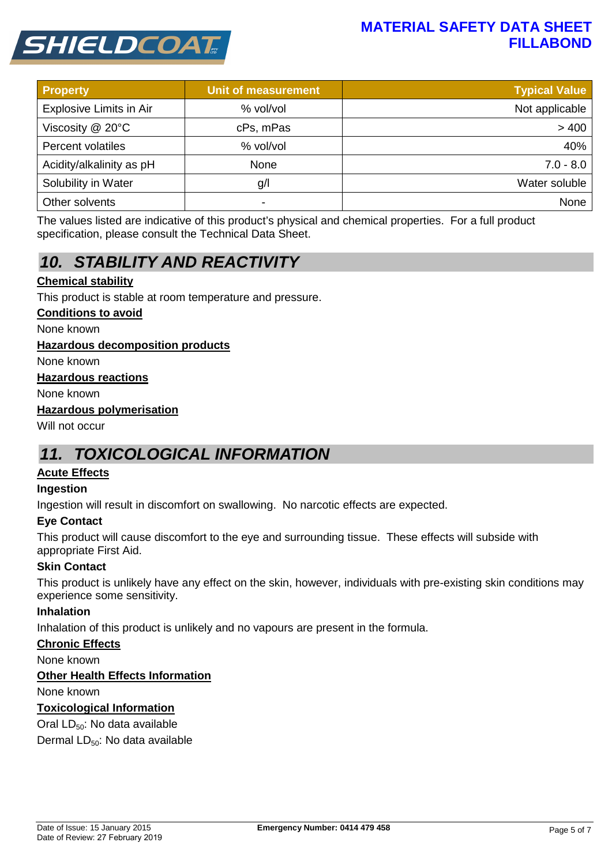### **MATERIAL SAFETY DATA SHEET FILLABOND**



| <b>Property</b>          | <b>Unit of measurement</b> | <b>Typical Value</b> |
|--------------------------|----------------------------|----------------------|
| Explosive Limits in Air  | % vol/vol                  | Not applicable       |
| Viscosity @ 20°C         | cPs, mPas                  | > 400                |
| Percent volatiles        | % vol/vol                  | 40%                  |
| Acidity/alkalinity as pH | None                       | $7.0 - 8.0$          |
| Solubility in Water      | g/l                        | Water soluble        |
| Other solvents           | -                          | None                 |

The values listed are indicative of this product's physical and chemical properties. For a full product specification, please consult the Technical Data Sheet.

# *10. STABILITY AND REACTIVITY*

#### **Chemical stability**

This product is stable at room temperature and pressure.

#### **Conditions to avoid**

None known

#### **Hazardous decomposition products**

None known

#### **Hazardous reactions**

None known

#### **Hazardous polymerisation**

Will not occur

### *11. TOXICOLOGICAL INFORMATION*

#### **Acute Effects**

#### **Ingestion**

Ingestion will result in discomfort on swallowing. No narcotic effects are expected.

#### **Eye Contact**

This product will cause discomfort to the eye and surrounding tissue. These effects will subside with appropriate First Aid.

#### **Skin Contact**

This product is unlikely have any effect on the skin, however, individuals with pre-existing skin conditions may experience some sensitivity.

#### **Inhalation**

Inhalation of this product is unlikely and no vapours are present in the formula.

#### **Chronic Effects**

None known

#### **Other Health Effects Information**

None known

#### **Toxicological Information**

Oral LD<sub>50</sub>: No data available

Dermal LD<sub>50</sub>: No data available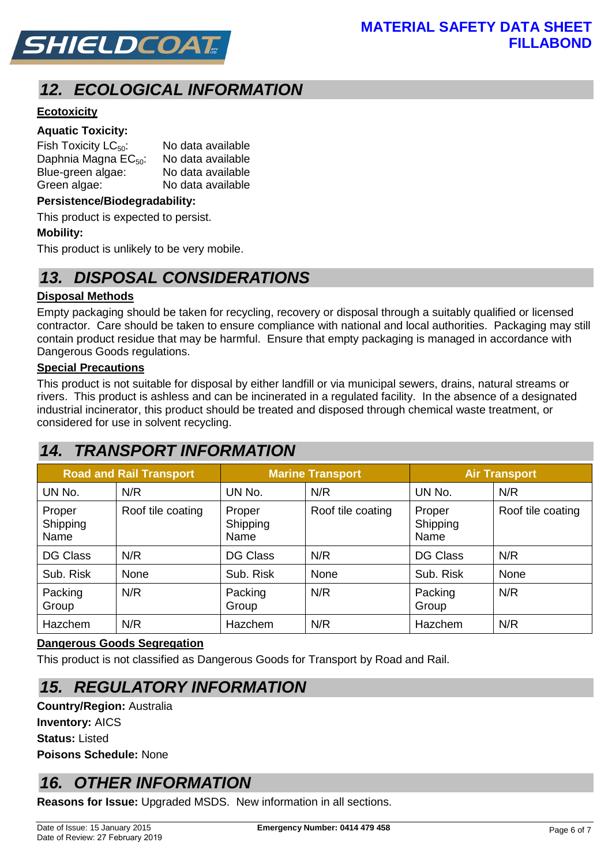

# *12. ECOLOGICAL INFORMATION*

#### **Ecotoxicity**

#### **Aquatic Toxicity:**

| Fish Toxicity $LC_{50}$ :        | No data available |
|----------------------------------|-------------------|
| Daphnia Magna EC <sub>50</sub> : | No data available |
| Blue-green algae:                | No data available |
| Green algae:                     | No data available |

#### **Persistence/Biodegradability:**

This product is expected to persist.

#### **Mobility:**

This product is unlikely to be very mobile.

### *13. DISPOSAL CONSIDERATIONS*

#### **Disposal Methods**

Empty packaging should be taken for recycling, recovery or disposal through a suitably qualified or licensed contractor. Care should be taken to ensure compliance with national and local authorities. Packaging may still contain product residue that may be harmful. Ensure that empty packaging is managed in accordance with Dangerous Goods regulations.

#### **Special Precautions**

This product is not suitable for disposal by either landfill or via municipal sewers, drains, natural streams or rivers. This product is ashless and can be incinerated in a regulated facility. In the absence of a designated industrial incinerator, this product should be treated and disposed through chemical waste treatment, or considered for use in solvent recycling.

### *14. TRANSPORT INFORMATION*

| <b>Road and Rail Transport</b> |                   | <b>Marine Transport</b>    |                   | <b>Air Transport</b>       |                   |
|--------------------------------|-------------------|----------------------------|-------------------|----------------------------|-------------------|
| UN No.                         | N/R               | UN No.                     | N/R               | UN No.                     | N/R               |
| Proper<br>Shipping<br>Name     | Roof tile coating | Proper<br>Shipping<br>Name | Roof tile coating | Proper<br>Shipping<br>Name | Roof tile coating |
| <b>DG Class</b>                | N/R               | <b>DG Class</b>            | N/R               | <b>DG Class</b>            | N/R               |
| Sub. Risk                      | None              | Sub. Risk                  | None              | Sub. Risk                  | None              |
| Packing<br>Group               | N/R               | Packing<br>Group           | N/R               | Packing<br>Group           | N/R               |
| <b>Hazchem</b>                 | N/R               | Hazchem                    | N/R               | Hazchem                    | N/R               |

#### **Dangerous Goods Segregation**

This product is not classified as Dangerous Goods for Transport by Road and Rail.

### *15. REGULATORY INFORMATION*

**Country/Region:** Australia **Inventory:** AICS **Status:** Listed **Poisons Schedule:** None

# *16. OTHER INFORMATION*

**Reasons for Issue:** Upgraded MSDS. New information in all sections.